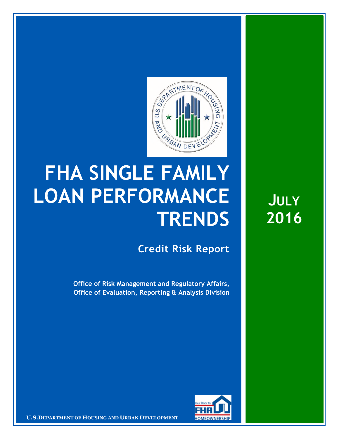

## **FHA SINGLE FAMILY LOAN PERFORMANCE TRENDS**

**Credit Risk Report**

**Office of Risk Management and Regulatory Affairs, Office of Evaluation, Reporting & Analysis Division** 



**U.S.DEPARTMENT OF HOUSING AND URBAN DEVELOPMENT**

**JULY 2016**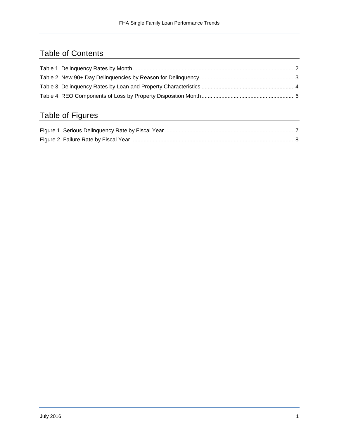## Table of Contents

## Table of Figures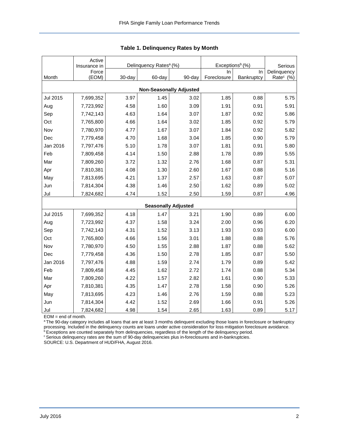<span id="page-2-0"></span>

|                                | Active<br>Insurance in |        | Delinquency Rates <sup>a</sup> (%) |        | Exceptions <sup>b</sup> (%) | Serious    |                       |  |  |  |  |
|--------------------------------|------------------------|--------|------------------------------------|--------|-----------------------------|------------|-----------------------|--|--|--|--|
|                                | Force                  |        |                                    |        | In.                         | In         | Delinquency           |  |  |  |  |
| Month                          | (EOM)                  | 30-day | 60-day                             | 90-day | Foreclosure                 | Bankruptcy | Rate <sup>c</sup> (%) |  |  |  |  |
| <b>Non-Seasonally Adjusted</b> |                        |        |                                    |        |                             |            |                       |  |  |  |  |
| Jul 2015                       | 7,699,352              | 3.97   | 1.45                               | 3.02   | 1.85                        | 0.88       | 5.75                  |  |  |  |  |
| Aug                            | 7,723,992              | 4.58   | 1.60                               | 3.09   | 1.91                        | 0.91       | 5.91                  |  |  |  |  |
| Sep                            | 7,742,143              | 4.63   | 1.64                               | 3.07   | 1.87                        | 0.92       | 5.86                  |  |  |  |  |
| Oct                            | 7,765,800              | 4.66   | 1.64                               | 3.02   | 1.85                        | 0.92       | 5.79                  |  |  |  |  |
| Nov                            | 7,780,970              | 4.77   | 1.67                               | 3.07   | 1.84                        | 0.92       | 5.82                  |  |  |  |  |
| Dec                            | 7,779,458              | 4.70   | 1.68                               | 3.04   | 1.85                        | 0.90       | 5.79                  |  |  |  |  |
| Jan 2016                       | 7,797,476              | 5.10   | 1.78                               | 3.07   | 1.81                        | 0.91       | 5.80                  |  |  |  |  |
| Feb                            | 7,809,458              | 4.14   | 1.50                               | 2.88   | 1.78                        | 0.89       | 5.55                  |  |  |  |  |
| Mar                            | 7,809,260              | 3.72   | 1.32                               | 2.76   | 1.68                        | 0.87       | 5.31                  |  |  |  |  |
| Apr                            | 7,810,381              | 4.08   | 1.30                               | 2.60   | 1.67                        | 0.88       | 5.16                  |  |  |  |  |
| May                            | 7,813,695              | 4.21   | 1.37                               | 2.57   | 1.63                        | 0.87       | 5.07                  |  |  |  |  |
| Jun                            | 7,814,304              | 4.38   | 1.46                               | 2.50   | 1.62                        | 0.89       | 5.02                  |  |  |  |  |
| Jul                            | 7,824,682              | 4.74   | 1.52                               | 2.50   | 1.59                        | 0.87       | 4.96                  |  |  |  |  |
|                                |                        |        | <b>Seasonally Adjusted</b>         |        |                             |            |                       |  |  |  |  |
| <b>Jul 2015</b>                | 7,699,352              | 4.18   | 1.47                               | 3.21   | 1.90                        | 0.89       | 6.00                  |  |  |  |  |
| Aug                            | 7,723,992              | 4.37   | 1.58                               | 3.24   | 2.00                        | 0.96       | 6.20                  |  |  |  |  |
| Sep                            | 7,742,143              | 4.31   | 1.52                               | 3.13   | 1.93                        | 0.93       | 6.00                  |  |  |  |  |
| Oct                            | 7,765,800              | 4.66   | 1.56                               | 3.01   | 1.88                        | 0.88       | 5.76                  |  |  |  |  |
| Nov                            | 7,780,970              | 4.50   | 1.55                               | 2.88   | 1.87                        | 0.88       | 5.62                  |  |  |  |  |
| Dec                            | 7,779,458              | 4.36   | 1.50                               | 2.78   | 1.85                        | 0.87       | 5.50                  |  |  |  |  |
| Jan 2016                       | 7,797,476              | 4.88   | 1.59                               | 2.74   | 1.79                        | 0.89       | 5.42                  |  |  |  |  |
| Feb                            | 7,809,458              | 4.45   | 1.62                               | 2.72   | 1.74                        | 0.88       | 5.34                  |  |  |  |  |
| Mar                            | 7,809,260              | 4.22   | 1.57                               | 2.82   | 1.61                        | 0.90       | 5.33                  |  |  |  |  |
| Apr                            | 7,810,381              | 4.35   | 1.47                               | 2.78   | 1.58                        | 0.90       | 5.26                  |  |  |  |  |
| May                            | 7,813,695              | 4.23   | 1.46                               | 2.76   | 1.59                        | 0.88       | 5.23                  |  |  |  |  |
| Jun                            | 7,814,304              | 4.42   | 1.52                               | 2.69   | 1.66                        | 0.91       | 5.26                  |  |  |  |  |
| Jul                            | 7,824,682              | 4.98   | 1.54                               | 2.65   | 1.63                        | 0.89       | 5.17                  |  |  |  |  |

<span id="page-2-1"></span>

EOM = end of month.

<sup>a</sup>The 90-day category includes all loans that are at least 3 months delinquent excluding those loans in foreclosure or bankruptcy processing. Included in the delinquency counts are loans under active consideration for loss mitigation foreclosure avoidance.

<sup>b</sup> Exceptions are counted separately from delinquencies, regardless of the length of the delinquency period.

<sup>c</sup> Serious delinquency rates are the sum of 90-day delinquencies plus in-foreclosures and in-bankruptcies.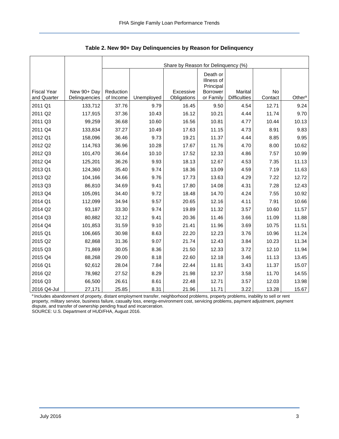<span id="page-3-0"></span>

|                                   |                              | Share by Reason for Delinquency (%) |            |                          |                                     |                                |               |                    |  |  |  |
|-----------------------------------|------------------------------|-------------------------------------|------------|--------------------------|-------------------------------------|--------------------------------|---------------|--------------------|--|--|--|
|                                   |                              |                                     |            |                          | Death or<br>Illness of<br>Principal |                                |               |                    |  |  |  |
| <b>Fiscal Year</b><br>and Quarter | New 90+ Day<br>Delinquencies | Reduction<br>of Income              | Unemployed | Excessive<br>Obligations | <b>Borrower</b><br>or Family        | Marital<br><b>Difficulties</b> | No<br>Contact | Other <sup>a</sup> |  |  |  |
| 2011 Q1                           | 133,712                      | 37.76                               | 9.79       | 16.45                    | 9.50                                | 4.54                           | 12.71         | 9.24               |  |  |  |
| 2011 Q2                           | 117,915                      | 37.36                               | 10.43      | 16.12                    | 10.21                               | 4.44                           | 11.74         | 9.70               |  |  |  |
| 2011 Q3                           | 99,259                       | 36.68                               | 10.60      | 16.56                    | 10.81                               | 4.77                           | 10.44         | 10.13              |  |  |  |
| 2011 Q4                           | 133,834                      | 37.27                               | 10.49      | 17.63                    | 11.15                               | 4.73                           | 8.91          | 9.83               |  |  |  |
| 2012 Q1                           | 158,096                      | 36.46                               | 9.73       | 19.21                    | 11.37                               | 4.44                           | 8.85          | 9.95               |  |  |  |
| 2012 Q2                           | 114,763                      | 36.96                               | 10.28      | 17.67                    | 11.76                               | 4.70                           | 8.00          | 10.62              |  |  |  |
| 2012 Q3                           | 101,470                      | 36.64                               | 10.10      | 17.52                    | 12.33                               | 4.86                           | 7.57          | 10.99              |  |  |  |
| 2012 Q4                           | 125,201                      | 36.26                               | 9.93       | 18.13                    | 12.67                               | 4.53                           | 7.35          | 11.13              |  |  |  |
| 2013 Q1                           | 124,360                      | 35.40                               | 9.74       | 18.36                    | 13.09                               | 4.59                           | 7.19          | 11.63              |  |  |  |
| 2013 Q2                           | 104,166                      | 34.66                               | 9.76       | 17.73                    | 13.63                               | 4.29                           | 7.22          | 12.72              |  |  |  |
| 2013 Q3                           | 86,810                       | 34.69                               | 9.41       | 17.80                    | 14.08                               | 4.31                           | 7.28          | 12.43              |  |  |  |
| 2013 Q4                           | 105,091                      | 34.40                               | 9.72       | 18.48                    | 14.70                               | 4.24                           | 7.55          | 10.92              |  |  |  |
| 2014 Q1                           | 112,099                      | 34.94                               | 9.57       | 20.65                    | 12.16                               | 4.11                           | 7.91          | 10.66              |  |  |  |
| 2014 Q2                           | 93,187                       | 33.30                               | 9.74       | 19.89                    | 11.32                               | 3.57                           | 10.60         | 11.57              |  |  |  |
| 2014 Q3                           | 80,882                       | 32.12                               | 9.41       | 20.36                    | 11.46                               | 3.66                           | 11.09         | 11.88              |  |  |  |
| 2014 Q4                           | 101,853                      | 31.59                               | 9.10       | 21.41                    | 11.96                               | 3.69                           | 10.75         | 11.51              |  |  |  |
| 2015 Q1                           | 106,665                      | 30.98                               | 8.63       | 22.20                    | 12.23                               | 3.76                           | 10.96         | 11.24              |  |  |  |
| 2015 Q2                           | 82,868                       | 31.36                               | 9.07       | 21.74                    | 12.43                               | 3.84                           | 10.23         | 11.34              |  |  |  |
| 2015 Q3                           | 71,869                       | 30.05                               | 8.36       | 21.50                    | 12.33                               | 3.72                           | 12.10         | 11.94              |  |  |  |
| 2015 Q4                           | 88,268                       | 29.00                               | 8.18       | 22.60                    | 12.18                               | 3.46                           | 11.13         | 13.45              |  |  |  |
| 2016 Q1                           | 92,612                       | 28.04                               | 7.84       | 22.44                    | 11.81                               | 3.43                           | 11.37         | 15.07              |  |  |  |
| 2016 Q2                           | 78,982                       | 27.52                               | 8.29       | 21.98                    | 12.37                               | 3.58                           | 11.70         | 14.55              |  |  |  |
| 2016 Q3                           | 66,500                       | 26.61                               | 8.61       | 22.48                    | 12.71                               | 3.57                           | 12.03         | 13.98              |  |  |  |
| 2016 Q4-Jul                       | 27,171                       | 25.85                               | 8.31       | 21.96                    | 11.71                               | 3.22                           | 13.28         | 15.67              |  |  |  |

<span id="page-3-1"></span>**Table 2. New 90+ Day Delinquencies by Reason for Delinquency** 

a Includes abandonment of property, distant employment transfer, neighborhood problems, property problems, inability to sell or rent property, military service, business failure, casualty loss, energy-environment cost, servicing problems, payment adjustment, payment dispute, and transfer of ownership pending fraud and incarceration.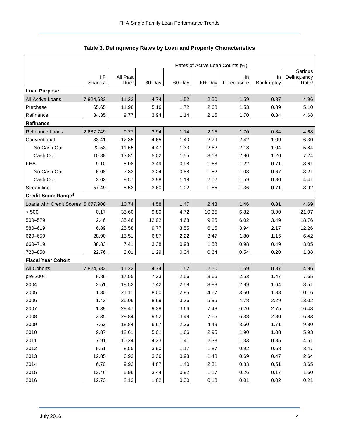<span id="page-4-0"></span>

|                                    |                                   | Rates of Active Loan Counts (%) |        |         |            |                   |                  |                                  |  |  |  |
|------------------------------------|-----------------------------------|---------------------------------|--------|---------|------------|-------------------|------------------|----------------------------------|--|--|--|
|                                    |                                   |                                 |        | Serious |            |                   |                  |                                  |  |  |  |
|                                    | <b>IIF</b><br>Shares <sup>a</sup> | All Past<br>Due <sup>b</sup>    | 30-Day | 60-Day  | $90 + Day$ | In<br>Foreclosure | In<br>Bankruptcy | Delinquency<br>Rate <sup>c</sup> |  |  |  |
| <b>Loan Purpose</b>                |                                   |                                 |        |         |            |                   |                  |                                  |  |  |  |
| All Active Loans                   | 7,824,682                         | 11.22                           | 4.74   | 1.52    | 2.50       | 1.59              | 0.87             | 4.96                             |  |  |  |
| Purchase                           | 65.65                             | 11.98                           | 5.16   | 1.72    | 2.68       | 1.53              | 0.89             | 5.10                             |  |  |  |
| Refinance                          | 34.35                             | 9.77                            | 3.94   | 1.14    | 2.15       | 1.70              | 0.84             | 4.68                             |  |  |  |
| Refinance                          |                                   |                                 |        |         |            |                   |                  |                                  |  |  |  |
| <b>Refinance Loans</b>             | 2,687,749                         | 9.77                            | 3.94   | 1.14    | 2.15       | 1.70              | 0.84             | 4.68                             |  |  |  |
| Conventional                       | 33.41                             | 12.35                           | 4.65   | 1.40    | 2.79       | 2.42              | 1.09             | 6.30                             |  |  |  |
| No Cash Out                        | 22.53                             | 11.65                           | 4.47   | 1.33    | 2.62       | 2.18              | 1.04             | 5.84                             |  |  |  |
| Cash Out                           | 10.88                             | 13.81                           | 5.02   | 1.55    | 3.13       | 2.90              | 1.20             | 7.24                             |  |  |  |
| <b>FHA</b>                         | 9.10                              | 8.08                            | 3.49   | 0.98    | 1.68       | 1.22              | 0.71             | 3.61                             |  |  |  |
| No Cash Out                        | 6.08                              | 7.33                            | 3.24   | 0.88    | 1.52       | 1.03              | 0.67             | 3.21                             |  |  |  |
| Cash Out                           | 3.02                              | 9.57                            | 3.98   | 1.18    | 2.02       | 1.59              | 0.80             | 4.41                             |  |  |  |
| Streamline                         | 57.49                             | 8.53                            | 3.60   | 1.02    | 1.85       | 1.36              | 0.71             | 3.92                             |  |  |  |
| Credit Score Ranged                |                                   |                                 |        |         |            |                   |                  |                                  |  |  |  |
| Loans with Credit Scores 5,677,908 |                                   | 10.74                           | 4.58   | 1.47    | 2.43       | 1.46              | 0.81             | 4.69                             |  |  |  |
| < 500                              | 0.17                              | 35.60                           | 9.80   | 4.72    | 10.35      | 6.82              | 3.90             | 21.07                            |  |  |  |
| 500-579                            | 2.46                              | 35.46                           | 12.02  | 4.68    | 9.25       | 6.02              | 3.49             | 18.76                            |  |  |  |
| 580-619                            | 6.89                              | 25.58                           | 9.77   | 3.55    | 6.15       | 3.94              | 2.17             | 12.26                            |  |  |  |
| 620-659                            | 28.90                             | 15.51                           | 6.87   | 2.22    | 3.47       | 1.80              | 1.15             | 6.42                             |  |  |  |
| 660-719                            | 38.83                             | 7.41                            | 3.38   | 0.98    | 1.58       | 0.98              | 0.49             | 3.05                             |  |  |  |
| 720-850                            | 22.76                             | 3.01                            | 1.29   | 0.34    | 0.64       | 0.54              | 0.20             | 1.38                             |  |  |  |
| <b>Fiscal Year Cohort</b>          |                                   |                                 |        |         |            |                   |                  |                                  |  |  |  |
| <b>All Cohorts</b>                 | 7,824,682                         | 11.22                           | 4.74   | 1.52    | 2.50       | 1.59              | 0.87             | 4.96                             |  |  |  |
| pre-2004                           | 9.86                              | 17.55                           | 7.33   | 2.56    | 3.66       | 2.53              | 1.47             | 7.65                             |  |  |  |
| 2004                               | 2.51                              | 18.52                           | 7.42   | 2.58    | 3.88       | 2.99              | 1.64             | 8.51                             |  |  |  |
| 2005                               | 1.80                              | 21.11                           | 8.00   | 2.95    | 4.67       | 3.60              | 1.88             | 10.16                            |  |  |  |
| 2006                               | 1.43                              | 25.06                           | 8.69   | 3.36    | 5.95       | 4.78              | 2.29             | 13.02                            |  |  |  |
| 2007                               | 1.39                              | 29.47                           | 9.38   | 3.66    | 7.48       | 6.20              | 2.75             | 16.43                            |  |  |  |
| 2008                               | 3.35                              | 29.84                           | 9.52   | 3.49    | 7.65       | 6.38              | 2.80             | 16.83                            |  |  |  |
| 2009                               | 7.62                              | 18.84                           | 6.67   | 2.36    | 4.49       | 3.60              | 1.71             | 9.80                             |  |  |  |
| 2010                               | 9.87                              | 12.61                           | 5.01   | 1.66    | 2.95       | 1.90              | 1.08             | 5.93                             |  |  |  |
| 2011                               | 7.91                              | 10.24                           | 4.33   | 1.41    | 2.33       | 1.33              | 0.85             | 4.51                             |  |  |  |
| 2012                               | 9.51                              | 8.55                            | 3.90   | 1.17    | 1.87       | 0.92              | 0.68             | 3.47                             |  |  |  |
| 2013                               | 12.85                             | 6.93                            | 3.36   | 0.93    | 1.48       | 0.69              | 0.47             | 2.64                             |  |  |  |
| 2014                               | 6.70                              | 9.92                            | 4.87   | 1.40    | 2.31       | 0.83              | 0.51             | 3.65                             |  |  |  |
| 2015                               | 12.46                             | 5.96                            | 3.44   | 0.92    | 1.17       | 0.26              | 0.17             | 1.60                             |  |  |  |
| 2016                               | 12.73                             | 2.13                            | 1.62   | 0.30    | 0.18       | 0.01              | 0.02             | 0.21                             |  |  |  |

## <span id="page-4-1"></span>**Table 3. Delinquency Rates by Loan and Property Characteristics**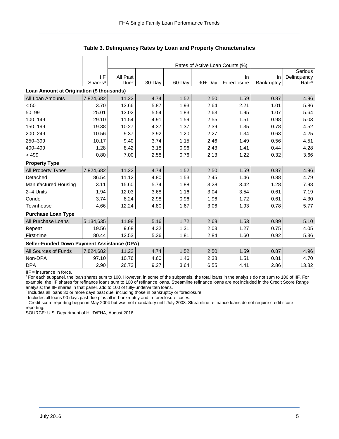|                                                    |                     | Rates of Active Loan Counts (%) |         |        |            |             |            |                   |  |  |  |  |
|----------------------------------------------------|---------------------|---------------------------------|---------|--------|------------|-------------|------------|-------------------|--|--|--|--|
|                                                    |                     |                                 | Serious |        |            |             |            |                   |  |  |  |  |
|                                                    | <b>IIF</b>          | All Past                        |         |        |            | In.         | <b>In</b>  | Delinquency       |  |  |  |  |
|                                                    | Shares <sup>a</sup> | Due <sup>b</sup>                | 30-Day  | 60-Day | $90 + Day$ | Foreclosure | Bankruptcy | Rate <sup>c</sup> |  |  |  |  |
| Loan Amount at Origination (\$ thousands)          |                     |                                 |         |        |            |             |            |                   |  |  |  |  |
| All Loan Amounts                                   | 7,824,682           | 11.22                           | 4.74    | 1.52   | 2.50       | 1.59        | 0.87       | 4.96              |  |  |  |  |
| < 50                                               | 3.70                | 13.66                           | 5.87    | 1.93   | 2.64       | 2.21        | 1.01       | 5.86              |  |  |  |  |
| $50 - 99$                                          | 25.01               | 13.02                           | 5.54    | 1.83   | 2.63       | 1.95        | 1.07       | 5.64              |  |  |  |  |
| 100-149                                            | 29.10               | 11.54                           | 4.91    | 1.59   | 2.55       | 1.51        | 0.98       | 5.03              |  |  |  |  |
| 150-199                                            | 19.38               | 10.27                           | 4.37    | 1.37   | 2.39       | 1.35        | 0.78       | 4.52              |  |  |  |  |
| 200-249                                            | 10.56               | 9.37                            | 3.92    | 1.20   | 2.27       | 1.34        | 0.63       | 4.25              |  |  |  |  |
| 250-399                                            | 10.17               | 9.40                            | 3.74    | 1.15   | 2.46       | 1.49        | 0.56       | 4.51              |  |  |  |  |
| 400-499                                            | 1.28                | 8.42                            | 3.18    | 0.96   | 2.43       | 1.41        | 0.44       | 4.28              |  |  |  |  |
| >499                                               | 0.80                | 7.00                            | 2.58    | 0.76   | 2.13       | 1.22        | 0.32       | 3.66              |  |  |  |  |
| <b>Property Type</b>                               |                     |                                 |         |        |            |             |            |                   |  |  |  |  |
| All Property Types                                 | 7,824,682           | 11.22                           | 4.74    | 1.52   | 2.50       | 1.59        | 0.87       | 4.96              |  |  |  |  |
| Detached                                           | 86.54               | 11.12                           | 4.80    | 1.53   | 2.45       | 1.46        | 0.88       | 4.79              |  |  |  |  |
| Manufactured Housing                               | 3.11                | 15.60                           | 5.74    | 1.88   | 3.28       | 3.42        | 1.28       | 7.98              |  |  |  |  |
| 2-4 Units                                          | 1.94                | 12.03                           | 3.68    | 1.16   | 3.04       | 3.54        | 0.61       | 7.19              |  |  |  |  |
| Condo                                              | 3.74                | 8.24                            | 2.98    | 0.96   | 1.96       | 1.72        | 0.61       | 4.30              |  |  |  |  |
| Townhouse                                          | 4.66                | 12.24                           | 4.80    | 1.67   | 3.06       | 1.93        | 0.78       | 5.77              |  |  |  |  |
| <b>Purchase Loan Type</b>                          |                     |                                 |         |        |            |             |            |                   |  |  |  |  |
| All Purchase Loans                                 | 5,134,635           | 11.98                           | 5.16    | 1.72   | 2.68       | 1.53        | 0.89       | 5.10              |  |  |  |  |
| Repeat                                             | 19.56               | 9.68                            | 4.32    | 1.31   | 2.03       | 1.27        | 0.75       | 4.05              |  |  |  |  |
| First-time                                         | 80.44               | 12.53                           | 5.36    | 1.81   | 2.84       | 1.60        | 0.92       | 5.36              |  |  |  |  |
| <b>Seller-Funded Down Payment Assistance (DPA)</b> |                     |                                 |         |        |            |             |            |                   |  |  |  |  |
| All Sources of Funds                               | 7,824,682           | 11.22                           | 4.74    | 1.52   | 2.50       | 1.59        | 0.87       | 4.96              |  |  |  |  |
| Non-DPA                                            | 97.10               | 10.76                           | 4.60    | 1.46   | 2.38       | 1.51        | 0.81       | 4.70              |  |  |  |  |
| <b>DPA</b>                                         | 2.90                | 26.73                           | 9.27    | 3.64   | 6.55       | 4.41        | 2.86       | 13.82             |  |  |  |  |

**Table 3. Delinquency Rates by Loan and Property Characteristics** 

IIF = insurance in force.

<sup>a</sup>For each subpanel, the loan shares sum to 100. However, in some of the subpanels, the total loans in the analysis do not sum to 100 of IIF. For example, the IIF shares for refinance loans sum to 100 of refinance loans. Streamline refinance loans are not included in the Credit Score Range analysis; the IIF shares in that panel, add to 100 of fully-underwritten loans.

<sup>b</sup> Includes all loans 30 or more days past due, including those in bankruptcy or foreclosure.

 $\degree$  Includes all loans 90 days past due plus all in-bankruptcy and in-foreclosure cases.

<sup>d</sup> Credit score reporting began in May 2004 but was not mandatory until July 2008. Streamline refinance loans do not require credit score reporting.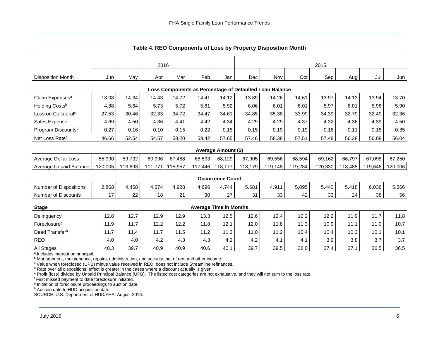<span id="page-6-0"></span>

|                                                         | 2016    |         |         |         |         |                               | 2015    |         |         |         |         |         |         |
|---------------------------------------------------------|---------|---------|---------|---------|---------|-------------------------------|---------|---------|---------|---------|---------|---------|---------|
| <b>Disposition Month</b>                                | Jun     | May     | Apr     | Mar     | Feb     | Jan                           | Dec     | Nov     | Oct     | Sep     | Aug     | Jul     | Jun     |
| Loss Components as Percentage of Defaulted Loan Balance |         |         |         |         |         |                               |         |         |         |         |         |         |         |
| Claim Expenses <sup>a</sup>                             | 13.08   | 14.34   | 14.43   | 14.72   | 14.41   | 14.12                         | 13.89   | 14.26   | 14.61   | 13.97   | 14.13   | 13.94   | 13.70   |
| Holding Costs <sup>b</sup>                              | 4.88    | 5.64    | 5.73    | 5.72    | 5.81    | 5.92                          | 6.06    | 6.01    | 6.01    | 5.97    | 6.01    | 5.96    | 5.90    |
| Loss on Collateral <sup>c</sup>                         | 27.53   | 30.46   | 32.33   | 34.72   | 34.47   | 34.61                         | 34.85   | 35.38   | 33.99   | 34.39   | 32.79   | 32.49   | 32.36   |
| Sales Expense                                           | 4.69    | 4.50    | 4.36    | 4.41    | 4.42    | 4.34                          | 4.29    | 4.29    | 4.37    | 4.32    | 4.36    | 4.39    | 4.50    |
| Program Discounts <sup>d</sup>                          | 0.27    | 0.16    | 0.10    | 0.15    | 0.22    | 0.15                          | 0.15    | 0.19    | 0.19    | 0.16    | 0.11    | 0.18    | 0.35    |
| Net Loss Rate <sup>e</sup>                              | 46.66   | 52.54   | 54.57   | 58.20   | 58.42   | 57.65                         | 57.46   | 58.38   | 57.51   | 57.48   | 56.38   | 56.08   | 56.04   |
|                                                         |         |         |         |         |         | <b>Average Amount (\$)</b>    |         |         |         |         |         |         |         |
| <b>Average Dollar Loss</b>                              | 55,990  | 59,732  | 60,996  | 67,488  | 68,593  | 68,129                        | 67,905  | 69,556  | 68,594  | 69,162  | 66,797  | 67,098  | 67,250  |
| Average Unpaid Balance                                  | 120,005 | 113,693 | 111.771 | 115,957 | 117,446 | 118,177                       | 118,179 | 119,148 | 119,284 | 120,330 | 118,485 | 119,646 | 120,006 |
|                                                         |         |         |         |         |         |                               |         |         |         |         |         |         |         |
|                                                         |         |         |         |         |         | <b>Occurrence Count</b>       |         |         |         |         |         |         |         |
| <b>Number of Dispositions</b>                           | 2,868   | 4,458   | 4,674   | 4,928   | 4.696   | 4,744                         | 5,681   | 4,911   | 5,895   | 5,440   | 5,418   | 6.038   | 5,566   |
| <b>Number of Discounts</b>                              | 17      | 22      | 18      | 21      | 30      | 27                            | 31      | 33      | 42      | 33      | 24      | 38      | 56      |
| <b>Stage</b>                                            |         |         |         |         |         | <b>Average Time in Months</b> |         |         |         |         |         |         |         |
| Delinquencyf                                            | 12.8    | 12.7    | 12.9    | 12.9    | 13.3    | 12.5                          | 12.6    | 12.4    | 12.2    | 12.2    | 11.9    | 11.7    | 11.8    |
| Foreclosure <sup>g</sup>                                | 11.9    | 11.7    | 12.2    | 12.2    | 11.8    | 12.1                          | 12.0    | 11.8    | 11.3    | 10.9    | 11.1    | 11.0    | 10.7    |
| Deed Transfer <sup>h</sup>                              | 11.7    | 11.4    | 11.7    | 11.5    | 11.2    | 11.3                          | 11.0    | 11.2    | 10.4    | 10.4    | 10.3    | 10.1    | 10.1    |
| <b>REO</b>                                              | 4.0     | 4.0     | 4.2     | 4.3     | 4.3     | 4.2                           | 4.2     | 4.1     | 4.1     | 3.9     | 3.8     | 3.7     | 3.7     |
| All Stages                                              | 40.3    | 39.7    | 40.9    | 40.9    | 40.6    | 40.1                          | 39.7    | 39.5    | 38.0    | 37.4    | 37.1    | 36.5    | 36.5    |

<span id="page-6-1"></span>**Table 4. REO Components of Loss by Property Disposition Month** 

a Includes interest on principal.

<sup>b</sup> Management, maintenance, repairs, administration, and security, net of rent and other income.

 $\textdegree$  Value when foreclosed (UPB) minus value received in REO; does not include Streamline refinances.<br><sup>d</sup> Rate over all dispositions; effect is greater in the cases where a discount actually is given.

e Profit (loss) divided by Unpaid Principal Balance (UPB). The listed cost categories are not exhaustive, and they will not sum to the loss rate.

f First missed payment to date foreclosure initiated.

<sup>g</sup> Initiation of foreclosure proceedings to auction date.

h Auction date to HUD acquisition date.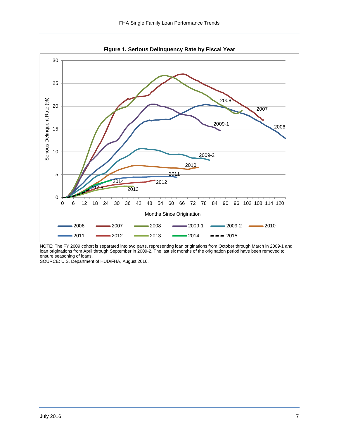<span id="page-7-0"></span>

<span id="page-7-1"></span>**Figure 1. Serious Delinquency Rate by Fiscal Year** 

NOTE: The FY 2009 cohort is separated into two parts, representing loan originations from October through March in 2009-1 and loan originations from April through September in 2009-2. The last six months of the origination period have been removed to ensure seasoning of loans.